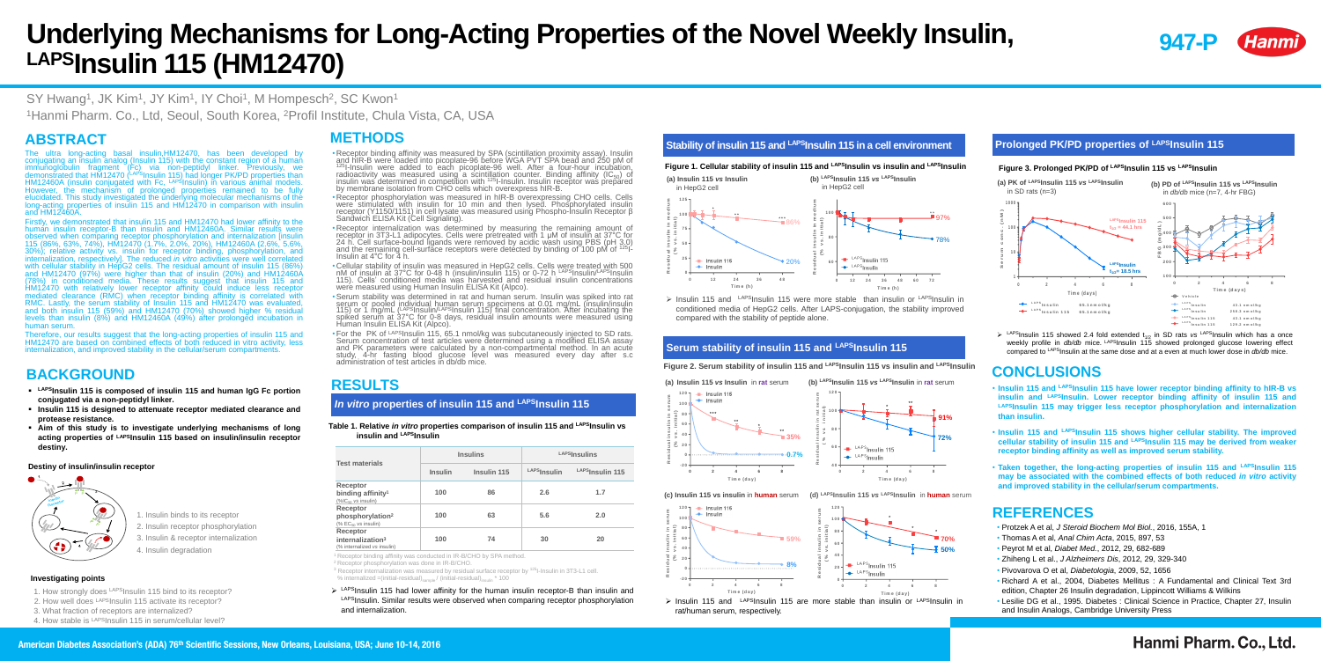# **Underlying Mechanisms for Long-Acting Properties of the Novel Weekly Insulin, LAPSInsulin 115 (HM12470)**

SY Hwang<sup>1</sup>, JK Kim<sup>1</sup>, JY Kim<sup>1</sup>, IY Choi<sup>1</sup>, M Hompesch<sup>2</sup>, SC Kwon<sup>1</sup> <sup>1</sup> Hanmi Pharm. Co., Ltd, Seoul, South Korea, <sup>2</sup> Profil Institute, Chula Vista, CA, USA

# **ABSTRACT**

The ultra long-acting basal insulin,HM12470, has been developed by conjugating an insulin analog (Insulin 115) with the constant region of a human immunoglobulin fragment (Fc) via non-peptidyl linker. Previously, we demonstrated that HM12470 (LAPSInsulin 115) had longer PK/PD properties than HM12460A (insulin conjugated with Fc, LAPSInsulin) in various animal models. However, the mechanism of prolonged properties remained to be fully elucidated. This study investigated the underlying molecular mechanisms of the long-acting properties of insulin 115 and HM12470 in comparison with insulin and HM12460A.

Firstly, we demonstrated that insulin 115 and HM12470 had lower affinity to the human insulin receptor-B than insulin and HM12460A. Similar results were observed when comparing receptor phosphorylation and internalization [insulin 115 (86%, 63%, 74%), HM12470 (1.7%, 2.0%, 20%), HM12460A (2.6%, 5.6%, 30%); relative activity vs. insulin for receptor binding, phosphorylation, and internalization, respectively]. The reduced *in vitro* activities were well correlated with cellular stability in HepG2 cells. The residual amount of insulin 115 (86%) and HM12470 (97%) were higher than that of insulin (20%) and HM12460A (78%) in conditioned media. These results suggest that insulin 115 and HM12470 with relatively lower receptor affinity could induce less receptor mediated clearance (RMC) when receptor binding affinity is correlated with RMC. Lastly, the serum stability of Insulin 115 and HM12470 was evaluated, and both insulin 115 (59%) and HM12470 (70%) showed higher % residual levels than insulin (8%) and HM12460A (49%) after prolonged incubation in human serum.

• Receptor phosphorylation was measured in hIR-B overexpressing CHO cells. Cells were stimulated with insulin for 10 min and then lysed. Phosphorylated insulin receptor (Y1150/1151) in cell lysate was measured using Phospho-Insulin Receptor β Sandwich ELISA Kit (Cell Signaling).

• Receptor internalization was determined by measuring the remaining amount of receptor in 3T3-L1 adipocytes. Cells were pretreated with 1 μM of insulin at 37°C for 24 h. Cell surface-bound ligands were removed by acidic wash using PBS (pH 3.0) and the remaining cell-surface receptors were detected by binding of 100 pM of  $125$ -

• Cellular stability of insulin was measured in HepG2 cells. Cells were treated with 500 nM of insulin at 37°C for 0-48 h (insulin/insulin 115) or 0-72 h LAPSInsulin/LAPSInsulin 115). Cells' conditioned media was harvested and residual insulin concentrations were measured using Human Insulin ELISA Kit (Alpco).

Therefore, our results suggest that the long-acting properties of insulin 115 and HM12470 are based on combined effects of both reduced in vitro activity, less internalization, and improved stability in the cellular/serum compartments.

•Serum stability was determined in rat and human serum. Insulin was spiked into rat serum or pooled individual human serum specimens at 0.01 mg/mL (insulin/insulin 115) or 1 mg/mL (LAPSInsulin/LAPSInsulin 115) final concentration. After incubating the spiked serum at 37°C for 0-8 days, residual insulin amounts were measured using



# **BACKGROUND**

# **Destiny of insulin/insulin receptor**



- 1. Insulin binds to its receptor
- 2. Insulin receptor phosphorylation
- 3. Insulin & receptor internalization
- 4. Insulin degradation

• For the PK of LAPSInsulin 115, 65.1 nmol/kg was subcutaneously injected to SD rats. Serum concentration of test articles were determined using a modified ELISA assay and PK parameters were calculated by a non-compartmental method. In an acute study, 4-hr fasting blood glucose level was measured every day after s.c administration of test articles in db/db mice.

**Receptor binding affinity<sup>1</sup>** (%IC<sub>50</sub> vs insulin) **Receptor phosphorylation<sup>2</sup>**  $($ % $EC<sub>50</sub>$  *vs* insulin)

- **LAPSInsulin 115 is composed of insulin 115 and human IgG Fc portion conjugated via a non-peptidyl linker.**
- **Insulin 115 is designed to attenuate receptor mediated clearance and protease resistance.**
- **Aim of this study is to investigate underlying mechanisms of long acting properties of LAPSInsulin 115 based on insulin/insulin receptor destiny.**

# **Investigating points**

- 1. How strongly does LAPS Insulin 115 bind to its receptor?
- 2. How well does LAPSInsulin 115 activate its receptor?
- 3. What fraction of receptors are internalized?
- 4. How stable is LAPSInsulin 115 in serum/cellular level?

# **METHODS**

- (% internalized vs insulin
- 
- 
- 
- and internalization.

• Receptor binding affinity was measured by SPA (scintillation proximity assay). Insulin and hIR-B were loaded into picoplate-96 before WGA PVT SPA bead and 250 pM of  $125$ I-Insulin were added to each picoplate-96 well. After a four-hour incubation, radioactivity was measured using a scintillation counter. Binding affinity  $(IC_{50})$  of insulin was determined in competition with <sup>125</sup>I-Insulin. Insulin receptor was prepared by membrane isolation from CHO cells which overexpress hIR-B.

> > Insulin 115 and LAPSInsulin 115 were more stable than insulin or LAPSInsulin in conditioned media of HepG2 cells. After LAPS-conjugation, the stability improved compared with the stability of peptide alone.

> > $\triangleright$  LAPSInsulin 115 showed 2.4 fold extended t<sub>1/2</sub> in SD rats vs LAPSInsulin which has a once weekly profile in *db/db* mice. <sup>LAPS</sup>Insulin 115 showed prolonged glucose lowering effect compared to LAPSInsulin at the same dose and at a even at much lower dose in *db/db* mice.

- 
- 
- Insulin at 4°C for 4 h.
- 
- Human Insulin ELISA Kit (Alpco).
- 

# **RESULTS** *In vitro* **properties of insulin 115 and LAPSInsulin 115**

### **Table 1. Relative** *in vitro* **properties comparison of insulin 115 and LAPSInsulin vs insulin and LAPSInsulin**

### **Test materials**

|    | <b>Insulins</b> |             | LAPSInsulins |                 |
|----|-----------------|-------------|--------------|-----------------|
|    | <b>Insulin</b>  | Insulin 115 | LAPSInsulin  | LAPSInsulin 115 |
|    | 100             | 86          | 2.6          | 1.7             |
|    | 100             | 63          | 5.6          | 2.0             |
| ۱) | 100             | 74          | 30           | 20              |

Receptor binding affinity was conducted in IR-B/CHO by SPA method.

### **Receptor internalization<sup>3</sup>**

<sup>2</sup>Receptor phosphorylation was done in IR-B/CHO.

 $3$  Receptor internalization was measured by residual surface receptor by  $125$ -Insulin in 3T3-L1 cell.

% internalized =(initial-residual) $_{\sf sample}$  / (initial-residual) $_{\sf insulin}$  \* 100

 $\triangleright$  LAPSInsulin 115 had lower affinity for the human insulin receptor-B than insulin and LAPSInsulin. Similar results were observed when comparing receptor phosphorylation

# **Stability of insulin 115 and LAPSInsulin 115 in a cell environment**

# **Figure 1. Cellular stability of insulin 115 and LAPSInsulin vs insulin and LAPSInsulin**





# **Figure 2. Serum stability of insulin 115 and LAPSInsulin 115 vs insulin and LAPSInsulin**

### **(a) Insulin 115** *vs* **Insulin** in **rat** serum **(b)**



# **Serum stability of insulin 115 and LAPSInsulin 115**

- **Insulin 115 and LAPSInsulin 115 have lower receptor binding affinity to hIR-B vs insulin and LAPSInsulin. Lower receptor binding affinity of insulin 115 and LAPSInsulin 115 may trigger less receptor phosphorylation and internalization than insulin.**
- **Insulin 115 and LAPSInsulin 115 shows higher cellular stability. The improved cellular stability of insulin 115 and LAPSInsulin 115 may be derived from weaker receptor binding affinity as well as improved serum stability.**
- **Taken together, the long-acting properties of insulin 115 and LAPSInsulin 115 may be associated with the combined effects of both reduced** *in vitro* **activity and improved stability in the cellular/serum compartments.**

# **CONCLUSIONS**

# **REFERENCES**

- Protzek A et al, *J Steroid Biochem Mol Biol.*, 2016, 155A, 1
- Thomas A et al, *Anal Chim Acta*, 2015, 897, 53
- Peyrot M et al, *Diabet Med.*, 2012, 29, 682-689
- Zhiheng L et al., *J Alzheimers Dis*, 2012, 29, 329-340
- Pivovarova O et al, *Diabetologia*, 2009, 52, 1656
- Richard A et al., 2004, Diabetes Mellitus : A Fundamental and Clinical Text 3rd edition, Chapter 26 Insulin degradation, Lippincott Williams & Wilkins
- Lesilie DG et al., 1995. Diabetes : Clinical Science in Practice, Chapter 27, Insulin and Insulin Analogs, Cambridge University Press

# Hanmi Pharm. Co., Ltd.

# **Prolonged PK/PD properties of LAPSInsulin 115**

# **Figure 3. Prolonged PK/PD of LAPSInsulin 115 vs LAPSInsulin**